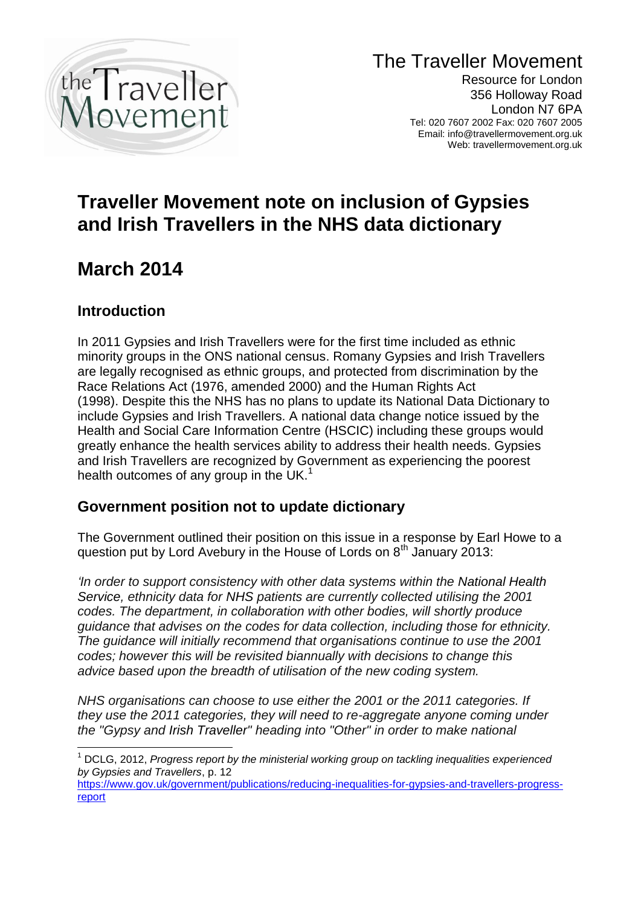

The Traveller Movement

Resource for London 356 Holloway Road London N7 6PA Tel: 020 7607 2002 Fax: 020 7607 2005 Email: info@travellermovement.org.uk Web: travellermovement.org.uk

# **Traveller Movement note on inclusion of Gypsies and Irish Travellers in the NHS data dictionary**

# **March 2014**

### **Introduction**

 $\overline{1}$ 

In 2011 Gypsies and Irish Travellers were for the first time included as ethnic minority groups in the ONS national census. Romany Gypsies and Irish Travellers are legally recognised as ethnic groups, and protected from discrimination by the Race Relations Act (1976, amended 2000) and the Human Rights Act (1998). Despite this the NHS has no plans to update its National Data Dictionary to include Gypsies and Irish Travellers. A national data change notice issued by the Health and Social Care Information Centre (HSCIC) including these groups would greatly enhance the health services ability to address their health needs. Gypsies and Irish Travellers are recognized by Government as experiencing the poorest health outcomes of any group in the UK.<sup>1</sup>

### **Government position not to update dictionary**

The Government outlined their position on this issue in a response by Earl Howe to a question put by Lord Avebury in the House of Lords on  $8<sup>th</sup>$  January 2013:

*'In order to support consistency with other data systems within the [National Health](http://en.wikipedia.org/wiki/National_Health_Service)  [Service,](http://en.wikipedia.org/wiki/National_Health_Service) ethnicity data for [NHS](http://en.wikipedia.org/wiki/NHS) patients are currently collected utilising the 2001 codes. The department, in collaboration with other bodies, will shortly produce guidance that advises on the codes for data collection, including those for ethnicity. The guidance will initially recommend that organisations continue to use the 2001 codes; however this will be revisited biannually with decisions to change this advice based upon the breadth of utilisation of the new coding system.*

*NHS organisations can choose to use either the 2001 or the 2011 categories. If they use the 2011 categories, they will need to re-aggregate anyone coming under the "Gypsy and [Irish Traveller"](http://en.wikipedia.org/wiki/Irish_Traveller) heading into "Other" in order to make national* 

<sup>1</sup> DCLG, 2012, *Progress report by the ministerial working group on tackling inequalities experienced by Gypsies and Travellers*, p. 12

[https://www.gov.uk/government/publications/reducing-inequalities-for-gypsies-and-travellers-progress](https://www.gov.uk/government/publications/reducing-inequalities-for-gypsies-and-travellers-progress-report)[report](https://www.gov.uk/government/publications/reducing-inequalities-for-gypsies-and-travellers-progress-report)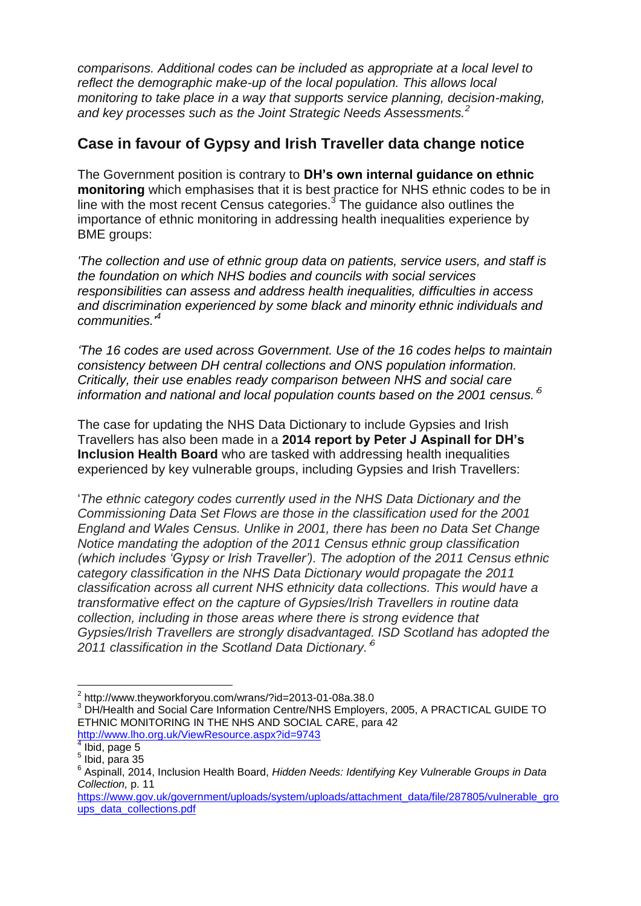*comparisons. Additional codes can be included as appropriate at a local level to reflect the demographic make-up of the local population. This allows local monitoring to take place in a way that supports service planning, decision-making, and key processes such as the Joint Strategic Needs Assessments.<sup>2</sup>*

#### **Case in favour of Gypsy and Irish Traveller data change notice**

The Government position is contrary to **DH's own internal guidance on ethnic monitoring** which emphasises that it is best practice for NHS ethnic codes to be in line with the most recent Census categories. $3$  The guidance also outlines the importance of ethnic monitoring in addressing health inequalities experience by BME groups:

*'The collection and use of ethnic group data on patients, service users, and staff is the foundation on which NHS bodies and councils with social services responsibilities can assess and address health inequalities, difficulties in access and discrimination experienced by some black and minority ethnic individuals and communities.'<sup>4</sup>*

*'The 16 codes are used across Government. Use of the 16 codes helps to maintain consistency between DH central collections and ONS population information. Critically, their use enables ready comparison between NHS and social care information and national and local population counts based on the 2001 census.' 5*

The case for updating the NHS Data Dictionary to include Gypsies and Irish Travellers has also been made in a **2014 report by Peter J Aspinall for DH's Inclusion Health Board** who are tasked with addressing health inequalities experienced by key vulnerable groups, including Gypsies and Irish Travellers:

'*The ethnic category codes currently used in the NHS Data Dictionary and the Commissioning Data Set Flows are those in the classification used for the 2001 England and Wales Census. Unlike in 2001, there has been no Data Set Change Notice mandating the adoption of the 2011 Census ethnic group classification (which includes 'Gypsy or Irish Traveller'). The adoption of the 2011 Census ethnic category classification in the NHS Data Dictionary would propagate the 2011 classification across all current NHS ethnicity data collections. This would have a transformative effect on the capture of Gypsies/Irish Travellers in routine data collection, including in those areas where there is strong evidence that Gypsies/Irish Travellers are strongly disadvantaged. ISD Scotland has adopted the 2011 classification in the Scotland Data Dictionary.' 6*

 2 http://www.theyworkforyou.com/wrans/?id=2013-01-08a.38.0

<sup>&</sup>lt;sup>3</sup> DH/Health and Social Care Information Centre/NHS Employers, 2005, A PRACTICAL GUIDE TO ETHNIC MONITORING IN THE NHS AND SOCIAL CARE, para 42 <http://www.lho.org.uk/ViewResource.aspx?id=9743>

 $4$  Ibid, page 5

 $<sup>5</sup>$  Ibid, para 35</sup>

<sup>6</sup> Aspinall, 2014, Inclusion Health Board, *Hidden Needs: Identifying Key Vulnerable Groups in Data Collection,* p. 11

[https://www.gov.uk/government/uploads/system/uploads/attachment\\_data/file/287805/vulnerable\\_gro](https://www.gov.uk/government/uploads/system/uploads/attachment_data/file/287805/vulnerable_groups_data_collections.pdf) [ups\\_data\\_collections.pdf](https://www.gov.uk/government/uploads/system/uploads/attachment_data/file/287805/vulnerable_groups_data_collections.pdf)